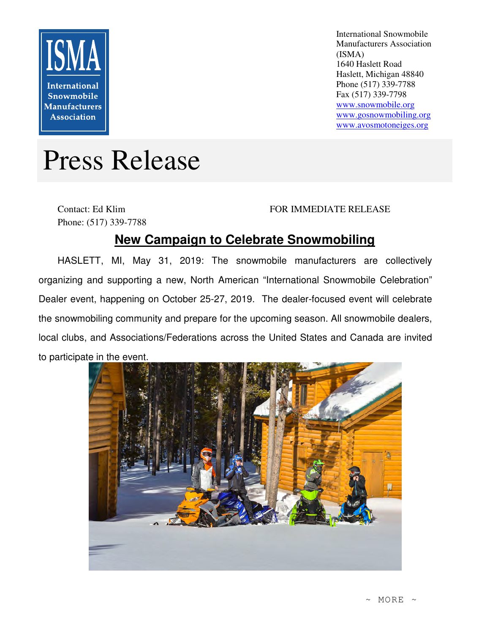

International Snowmobile Manufacturers Association (ISMA) 1640 Haslett Road Haslett, Michigan 48840 Phone (517) 339-7788 Fax (517) 339-7798 www.snowmobile.org www.gosnowmobiling.org www.avosmotoneiges.org

# Press Release

Contact: Ed Klim Phone: (517) 339-7788

### FOR IMMEDIATE RELEASE

## **New Campaign to Celebrate Snowmobiling**

HASLETT, MI, May 31, 2019: The snowmobile manufacturers are collectively organizing and supporting a new, North American "International Snowmobile Celebration" Dealer event, happening on October 25-27, 2019. The dealer-focused event will celebrate the snowmobiling community and prepare for the upcoming season. All snowmobile dealers, local clubs, and Associations/Federations across the United States and Canada are invited to participate in the event.

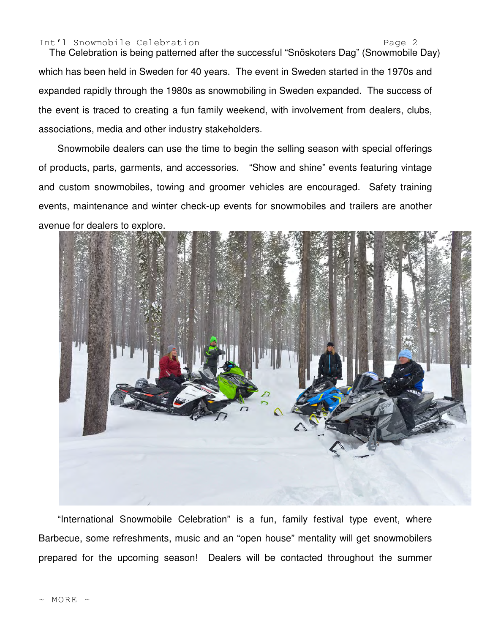#### Int'l Snowmobile Celebration entry the Contract of Page 2

The Celebration is being patterned after the successful "Snöskoters Dag" (Snowmobile Day) which has been held in Sweden for 40 years. The event in Sweden started in the 1970s and expanded rapidly through the 1980s as snowmobiling in Sweden expanded. The success of the event is traced to creating a fun family weekend, with involvement from dealers, clubs, associations, media and other industry stakeholders.

Snowmobile dealers can use the time to begin the selling season with special offerings of products, parts, garments, and accessories. "Show and shine" events featuring vintage and custom snowmobiles, towing and groomer vehicles are encouraged. Safety training events, maintenance and winter check-up events for snowmobiles and trailers are another avenue for dealers to explore.



"International Snowmobile Celebration" is a fun, family festival type event, where Barbecue, some refreshments, music and an "open house" mentality will get snowmobilers prepared for the upcoming season! Dealers will be contacted throughout the summer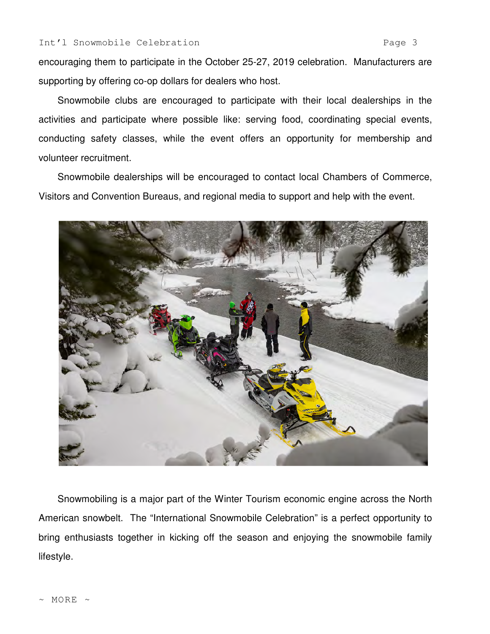encouraging them to participate in the October 25-27, 2019 celebration. Manufacturers are supporting by offering co-op dollars for dealers who host.

Snowmobile clubs are encouraged to participate with their local dealerships in the activities and participate where possible like: serving food, coordinating special events, conducting safety classes, while the event offers an opportunity for membership and volunteer recruitment.

Snowmobile dealerships will be encouraged to contact local Chambers of Commerce, Visitors and Convention Bureaus, and regional media to support and help with the event.



Snowmobiling is a major part of the Winter Tourism economic engine across the North American snowbelt. The "International Snowmobile Celebration" is a perfect opportunity to bring enthusiasts together in kicking off the season and enjoying the snowmobile family lifestyle.